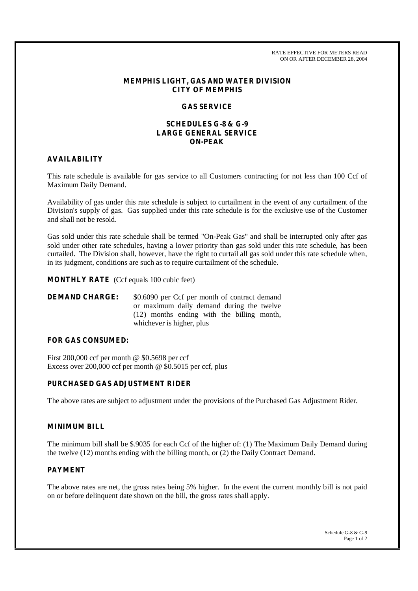RATE EFFECTIVE FOR METERS READ ON OR AFTER DECEMBER 28, 2004

#### **MEMPHIS LIGHT, GAS AND WATER DIVISION CITY OF MEMPHIS**

### **GAS SERVICE**

## **SCHEDULES G-8 & G-9 LARGE GENERAL SERVICE ON-PEAK**

# **AVAILABILITY**

This rate schedule is available for gas service to all Customers contracting for not less than 100 Ccf of Maximum Daily Demand.

Availability of gas under this rate schedule is subject to curtailment in the event of any curtailment of the Division's supply of gas. Gas supplied under this rate schedule is for the exclusive use of the Customer and shall not be resold.

Gas sold under this rate schedule shall be termed "On-Peak Gas" and shall be interrupted only after gas sold under other rate schedules, having a lower priority than gas sold under this rate schedule, has been curtailed. The Division shall, however, have the right to curtail all gas sold under this rate schedule when, in its judgment, conditions are such as to require curtailment of the schedule.

**MONTHLY RATE** (Ccf equals 100 cubic feet)

# **DEMAND CHARGE:** \$0.6090 per Ccf per month of contract demand or maximum daily demand during the twelve (12) months ending with the billing month, whichever is higher, plus

#### **FOR GAS CONSUMED:**

First 200,000 ccf per month @ \$0.5698 per ccf Excess over 200,000 ccf per month @ \$0.5015 per ccf, plus

# **PURCHASED GAS ADJUSTMENT RIDER**

The above rates are subject to adjustment under the provisions of the Purchased Gas Adjustment Rider.

# **MINIMUM BILL**

The minimum bill shall be \$.9035 for each Ccf of the higher of: (1) The Maximum Daily Demand during the twelve (12) months ending with the billing month, or (2) the Daily Contract Demand.

# **PAYMENT**

The above rates are net, the gross rates being 5% higher. In the event the current monthly bill is not paid on or before delinquent date shown on the bill, the gross rates shall apply.

> Schedule G-8 & G-9 Page 1 of 2